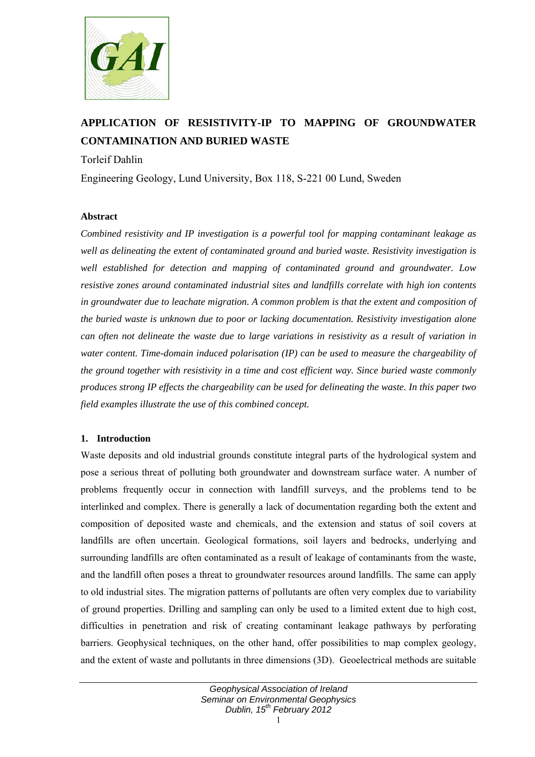

# **APPLICATION OF RESISTIVITY-IP TO MAPPING OF GROUNDWATER CONTAMINATION AND BURIED WASTE**

## Torleif Dahlin

Engineering Geology, Lund University, Box 118, S-221 00 Lund, Sweden

#### **Abstract**

*Combined resistivity and IP investigation is a powerful tool for mapping contaminant leakage as well as delineating the extent of contaminated ground and buried waste. Resistivity investigation is well established for detection and mapping of contaminated ground and groundwater. Low resistive zones around contaminated industrial sites and landfills correlate with high ion contents in groundwater due to leachate migration. A common problem is that the extent and composition of the buried waste is unknown due to poor or lacking documentation. Resistivity investigation alone can often not delineate the waste due to large variations in resistivity as a result of variation in water content. Time-domain induced polarisation (IP) can be used to measure the chargeability of the ground together with resistivity in a time and cost efficient way. Since buried waste commonly produces strong IP effects the chargeability can be used for delineating the waste. In this paper two field examples illustrate the use of this combined concept.* 

## **1. Introduction**

Waste deposits and old industrial grounds constitute integral parts of the hydrological system and pose a serious threat of polluting both groundwater and downstream surface water. A number of problems frequently occur in connection with landfill surveys, and the problems tend to be interlinked and complex. There is generally a lack of documentation regarding both the extent and composition of deposited waste and chemicals, and the extension and status of soil covers at landfills are often uncertain. Geological formations, soil layers and bedrocks, underlying and surrounding landfills are often contaminated as a result of leakage of contaminants from the waste, and the landfill often poses a threat to groundwater resources around landfills. The same can apply to old industrial sites. The migration patterns of pollutants are often very complex due to variability of ground properties. Drilling and sampling can only be used to a limited extent due to high cost, difficulties in penetration and risk of creating contaminant leakage pathways by perforating barriers. Geophysical techniques, on the other hand, offer possibilities to map complex geology, and the extent of waste and pollutants in three dimensions (3D). Geoelectrical methods are suitable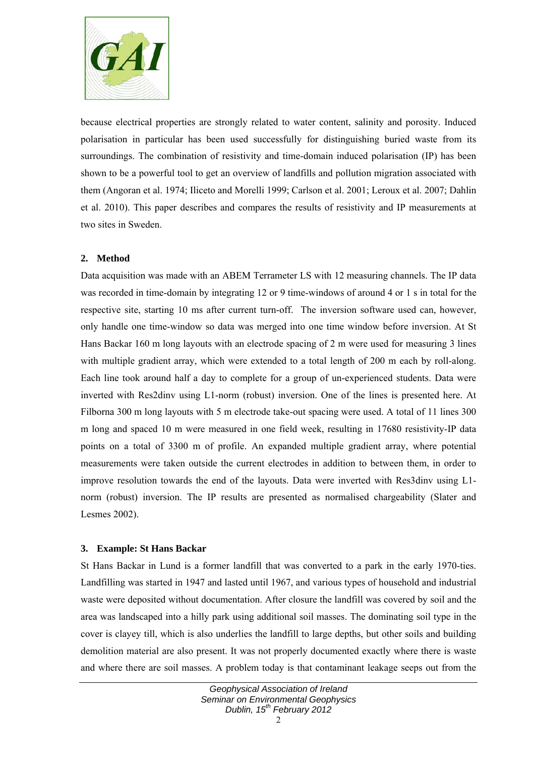

because electrical properties are strongly related to water content, salinity and porosity. Induced polarisation in particular has been used successfully for distinguishing buried waste from its surroundings. The combination of resistivity and time-domain induced polarisation (IP) has been shown to be a powerful tool to get an overview of landfills and pollution migration associated with them (Angoran et al. 1974; Iliceto and Morelli 1999; Carlson et al. 2001; Leroux et al. 2007; Dahlin et al. 2010). This paper describes and compares the results of resistivity and IP measurements at two sites in Sweden.

## **2. Method**

Data acquisition was made with an ABEM Terrameter LS with 12 measuring channels. The IP data was recorded in time-domain by integrating 12 or 9 time-windows of around 4 or 1 s in total for the respective site, starting 10 ms after current turn-off. The inversion software used can, however, only handle one time-window so data was merged into one time window before inversion. At St Hans Backar 160 m long layouts with an electrode spacing of 2 m were used for measuring 3 lines with multiple gradient array, which were extended to a total length of 200 m each by roll-along. Each line took around half a day to complete for a group of un-experienced students. Data were inverted with Res2dinv using L1-norm (robust) inversion. One of the lines is presented here. At Filborna 300 m long layouts with 5 m electrode take-out spacing were used. A total of 11 lines 300 m long and spaced 10 m were measured in one field week, resulting in 17680 resistivity-IP data points on a total of 3300 m of profile. An expanded multiple gradient array, where potential measurements were taken outside the current electrodes in addition to between them, in order to improve resolution towards the end of the layouts. Data were inverted with Res3dinv using L1 norm (robust) inversion. The IP results are presented as normalised chargeability (Slater and Lesmes 2002).

## **3. Example: St Hans Backar**

St Hans Backar in Lund is a former landfill that was converted to a park in the early 1970-ties. Landfilling was started in 1947 and lasted until 1967, and various types of household and industrial waste were deposited without documentation. After closure the landfill was covered by soil and the area was landscaped into a hilly park using additional soil masses. The dominating soil type in the cover is clayey till, which is also underlies the landfill to large depths, but other soils and building demolition material are also present. It was not properly documented exactly where there is waste and where there are soil masses. A problem today is that contaminant leakage seeps out from the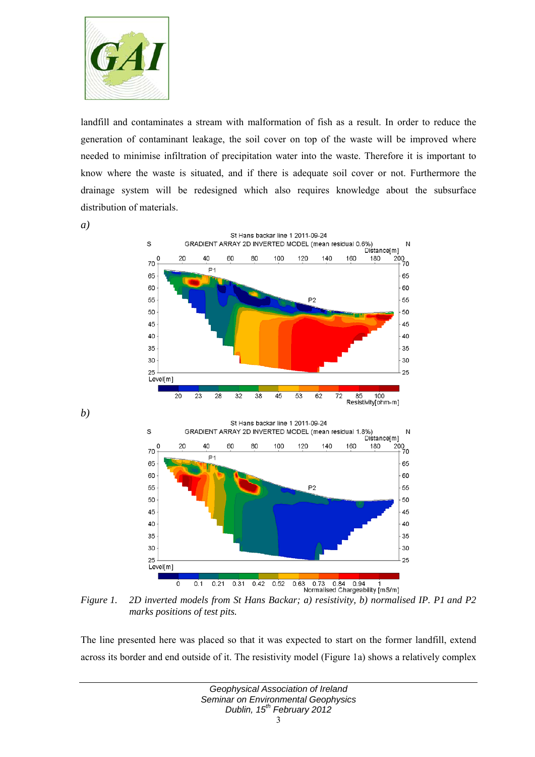

landfill and contaminates a stream with malformation of fish as a result. In order to reduce the generation of contaminant leakage, the soil cover on top of the waste will be improved where needed to minimise infiltration of precipitation water into the waste. Therefore it is important to know where the waste is situated, and if there is adequate soil cover or not. Furthermore the drainage system will be redesigned which also requires knowledge about the subsurface distribution of materials.

*a)* 

*b)* 



*Figure 1. 2D inverted models from St Hans Backar; a) resistivity, b) normalised IP. P1 and P2 marks positions of test pits.* 

The line presented here was placed so that it was expected to start on the former landfill, extend across its border and end outside of it. The resistivity model (Figure 1a) shows a relatively complex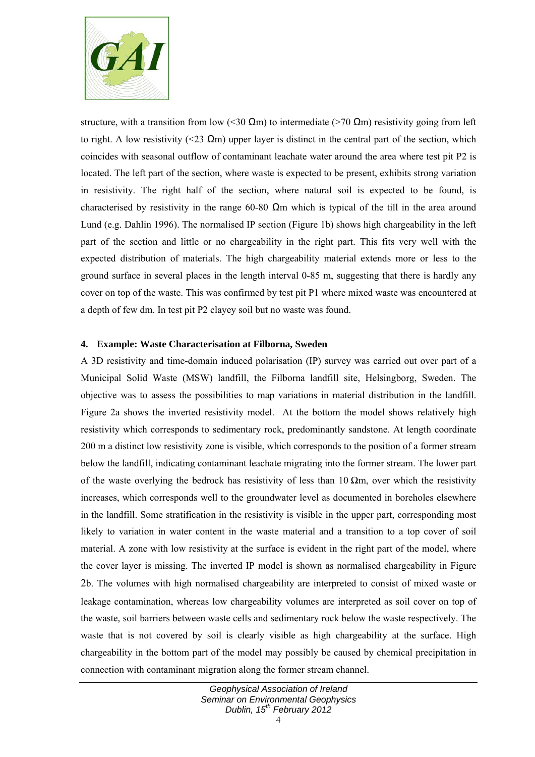

structure, with a transition from low (<30  $\Omega$ m) to intermediate (>70  $\Omega$ m) resistivity going from left to right. A low resistivity (<23  $\Omega$ m) upper layer is distinct in the central part of the section, which coincides with seasonal outflow of contaminant leachate water around the area where test pit P2 is located. The left part of the section, where waste is expected to be present, exhibits strong variation in resistivity. The right half of the section, where natural soil is expected to be found, is characterised by resistivity in the range 60-80  $\Omega$ m which is typical of the till in the area around Lund (e.g. Dahlin 1996). The normalised IP section (Figure 1b) shows high chargeability in the left part of the section and little or no chargeability in the right part. This fits very well with the expected distribution of materials. The high chargeability material extends more or less to the ground surface in several places in the length interval 0-85 m, suggesting that there is hardly any cover on top of the waste. This was confirmed by test pit P1 where mixed waste was encountered at a depth of few dm. In test pit P2 clayey soil but no waste was found.

#### **4. Example: Waste Characterisation at Filborna, Sweden**

A 3D resistivity and time-domain induced polarisation (IP) survey was carried out over part of a Municipal Solid Waste (MSW) landfill, the Filborna landfill site, Helsingborg, Sweden. The objective was to assess the possibilities to map variations in material distribution in the landfill. Figure 2a shows the inverted resistivity model. At the bottom the model shows relatively high resistivity which corresponds to sedimentary rock, predominantly sandstone. At length coordinate 200 m a distinct low resistivity zone is visible, which corresponds to the position of a former stream below the landfill, indicating contaminant leachate migrating into the former stream. The lower part of the waste overlying the bedrock has resistivity of less than  $10 \Omega m$ , over which the resistivity increases, which corresponds well to the groundwater level as documented in boreholes elsewhere in the landfill. Some stratification in the resistivity is visible in the upper part, corresponding most likely to variation in water content in the waste material and a transition to a top cover of soil material. A zone with low resistivity at the surface is evident in the right part of the model, where the cover layer is missing. The inverted IP model is shown as normalised chargeability in Figure 2b. The volumes with high normalised chargeability are interpreted to consist of mixed waste or leakage contamination, whereas low chargeability volumes are interpreted as soil cover on top of the waste, soil barriers between waste cells and sedimentary rock below the waste respectively. The waste that is not covered by soil is clearly visible as high chargeability at the surface. High chargeability in the bottom part of the model may possibly be caused by chemical precipitation in connection with contaminant migration along the former stream channel.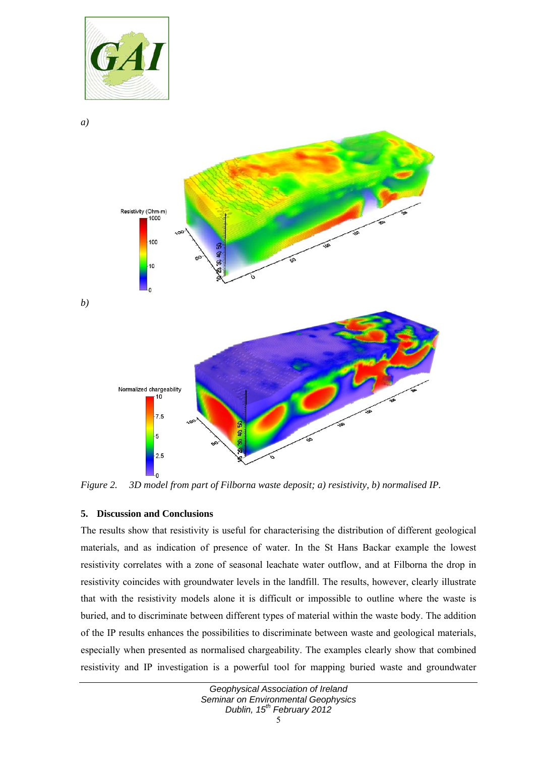



*Figure 2. 3D model from part of Filborna waste deposit; a) resistivity, b) normalised IP.* 

## **5. Discussion and Conclusions**

The results show that resistivity is useful for characterising the distribution of different geological materials, and as indication of presence of water. In the St Hans Backar example the lowest resistivity correlates with a zone of seasonal leachate water outflow, and at Filborna the drop in resistivity coincides with groundwater levels in the landfill. The results, however, clearly illustrate that with the resistivity models alone it is difficult or impossible to outline where the waste is buried, and to discriminate between different types of material within the waste body. The addition of the IP results enhances the possibilities to discriminate between waste and geological materials, especially when presented as normalised chargeability. The examples clearly show that combined resistivity and IP investigation is a powerful tool for mapping buried waste and groundwater